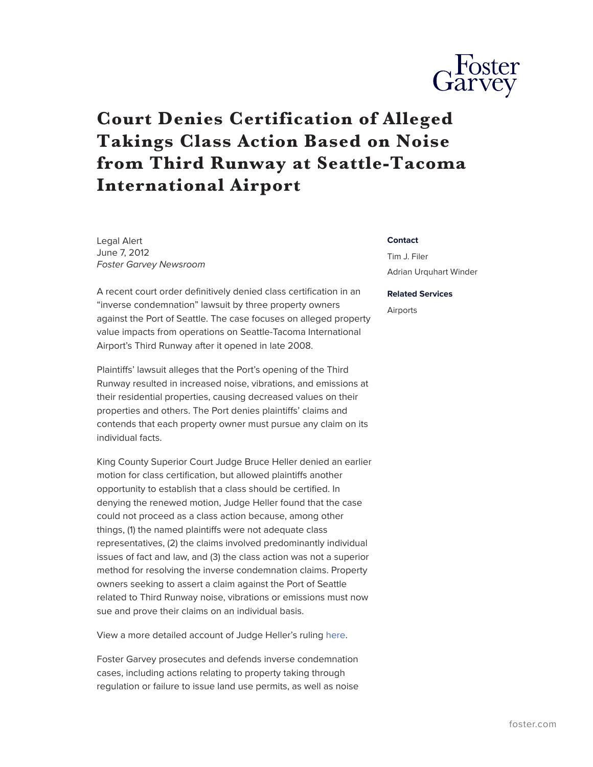

## **Court Denies Certification of Alleged Takings Class Action Based on Noise from Third Runway at Seattle-Tacoma International Airport**

Legal Alert June 7, 2012 *Foster Garvey Newsroom*

A recent court order definitively denied class certification in an "inverse condemnation" lawsuit by three property owners against the Port of Seattle. The case focuses on alleged property value impacts from operations on Seattle-Tacoma International Airport's Third Runway after it opened in late 2008.

Plaintiffs' lawsuit alleges that the Port's opening of the Third Runway resulted in increased noise, vibrations, and emissions at their residential properties, causing decreased values on their properties and others. The Port denies plaintiffs' claims and contends that each property owner must pursue any claim on its individual facts.

King County Superior Court Judge Bruce Heller denied an earlier motion for class certification, but allowed plaintiffs another opportunity to establish that a class should be certified. In denying the renewed motion, Judge Heller found that the case could not proceed as a class action because, among other things, (1) the named plaintiffs were not adequate class representatives, (2) the claims involved predominantly individual issues of fact and law, and (3) the class action was not a superior method for resolving the inverse condemnation claims. Property owners seeking to assert a claim against the Port of Seattle related to Third Runway noise, vibrations or emissions must now sue and prove their claims on an individual basis.

View a more detailed account of Judge Heller's ruling [here.](https://www.foster.com/assets/htmldocuments/FP%20MERGED%20PDFs_Legal%20Updates/Superior_Court_Denies_Class_Action_Against_Port_of_Seattle_for_Noise.pdf)

Foster Garvey prosecutes and defends inverse condemnation cases, including actions relating to property taking through regulation or failure to issue land use permits, as well as noise

## **Contact**

Tim J. Filer Adrian Urquhart Winder

## **Related Services**

Airports